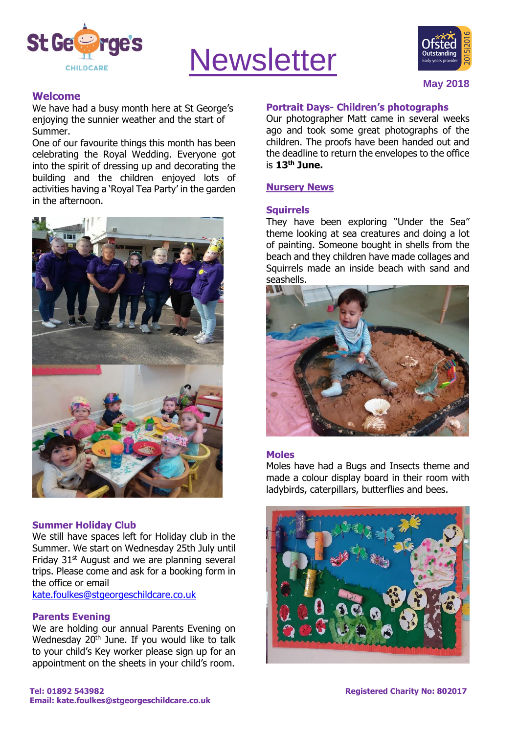

# **Newsletter**



# **Welcome**

We have had a busy month here at St George's enjoying the sunnier weather and the start of Summer.

One of our favourite things this month has been celebrating the Royal Wedding. Everyone got into the spirit of dressing up and decorating the building and the children enjoyed lots of activities having a 'Royal Tea Party' in the garden in the afternoon.



#### **Summer Holiday Club**

We still have spaces left for Holiday club in the Summer. We start on Wednesday 25th July until Friday 31<sup>st</sup> August and we are planning several trips. Please come and ask for a booking form in the office or email [kate.foulkes@stgeorgeschildcare.co.uk](mailto:kate.foulkes@stgeorgeschildcare.co.uk)

**Parents Evening**

We are holding our annual Parents Evening on Wednesday  $20<sup>th</sup>$  June. If you would like to talk to your child's Key worker please sign up for an appointment on the sheets in your child's room.

#### **Portrait Days- Children's photographs**

Our photographer Matt came in several weeks ago and took some great photographs of the children. The proofs have been handed out and the deadline to return the envelopes to the office is **13th June.**

# **Nursery News**

#### **Squirrels**

They have been exploring "Under the Sea" theme looking at sea creatures and doing a lot of painting. Someone bought in shells from the beach and they children have made collages and Squirrels made an inside beach with sand and seashells.



#### **Moles**

Moles have had a Bugs and Insects theme and made a colour display board in their room with ladybirds, caterpillars, butterflies and bees.

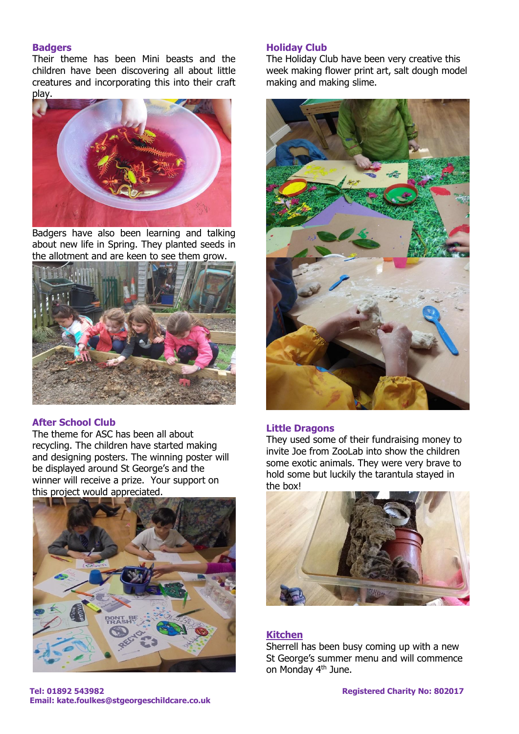#### **Badgers**

Their theme has been Mini beasts and the children have been discovering all about little creatures and incorporating this into their craft play.



Badgers have also been learning and talking about new life in Spring. They planted seeds in the allotment and are keen to see them grow.



# **After School Club**

The theme for ASC has been all about recycling. The children have started making and designing posters. The winning poster will be displayed around St George's and the winner will receive a prize. Your support on this project would appreciated.



# **Holiday Club**

The Holiday Club have been very creative this week making flower print art, salt dough model making and making slime.



#### **Little Dragons**

They used some of their fundraising money to invite Joe from ZooLab into show the children some exotic animals. They were very brave to hold some but luckily the tarantula stayed in the box!



# **Kitchen**

Sherrell has been busy coming up with a new St George's summer menu and will commence on Monday 4th June.

**Tel: 01892 543982 Registered Charity No: 802017 Email: kate.foulkes@stgeorgeschildcare.co.uk**